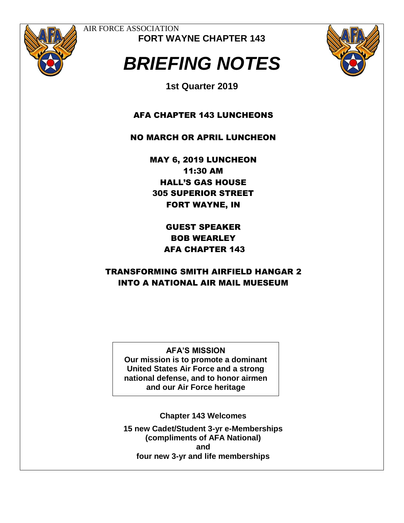

AIR FORCE ASSOCIATION **FORT WAYNE CHAPTER 143**

# *BRIEFING NOTES*



**1st Quarter 2019**

AFA CHAPTER 143 LUNCHEONS

NO MARCH OR APRIL LUNCHEON

MAY 6, 2019 LUNCHEON 11:30 AM HALL'S GAS HOUSE 305 SUPERIOR STREET FORT WAYNE, IN

> GUEST SPEAKER BOB WEARLEY AFA CHAPTER 143

## TRANSFORMING SMITH AIRFIELD HANGAR 2 INTO A NATIONAL AIR MAIL MUESEUM

**AFA'S MISSION Our mission is to promote a dominant United States Air Force and a strong national defense, and to honor airmen and our Air Force heritage**

**Chapter 143 Welcomes** 

**15 new Cadet/Student 3-yr e-Memberships (compliments of AFA National) and four new 3-yr and life memberships**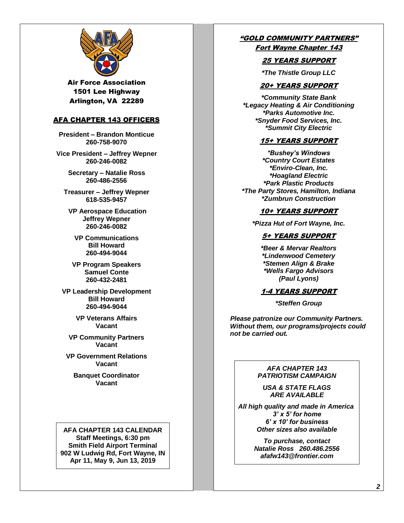

Air Force Association 1501 Lee Highway Arlington, VA 22289

#### AFA CHAPTER 143 OFFICERS

**President – Brandon Monticue 260-758-9070**

**Vice President – Jeffrey Wepner 260-246-0082**

> **Secretary – Natalie Ross 260-486-2556**

**Treasurer – Jeffrey Wepner 618-535-9457**

**VP Aerospace Education Jeffrey Wepner 260-246-0082**

**VP Communications Bill Howard 260-494-9044**

**VP Program Speakers Samuel Conte 260-432-2481**

**VP Leadership Development Bill Howard 260-494-9044**

> **VP Veterans Affairs Vacant**

**VP Community Partners Vacant**

**VP Government Relations Vacant** 

**Banquet Coordinator Vacant**

**AFA CHAPTER 143 CALENDAR Staff Meetings, 6:30 pm Smith Field Airport Terminal 902 W Ludwig Rd, Fort Wayne, IN Apr 11, May 9, Jun 13, 2019**

#### "GOLD COMMUNITY PARTNERS" Fort Wayne Chapter 143

### 25 YEARS SUPPORT

*\*The Thistle Group LLC*

#### 20+ YEARS SUPPORT

*\*Community State Bank \*Legacy Heating & Air Conditioning \*Parks Automotive Inc. \*Snyder Food Services, Inc. \*Summit City Electric*

#### 15+ YEARS SUPPORT

*\*Bushey's Windows \*Country Court Estates \*Enviro-Clean, Inc. \*Hoagland Electric \*Park Plastic Products \*The Party Stores, Hamilton, Indiana \*Zumbrun Construction*

#### 10+ YEARS SUPPORT

*\*Pizza Hut of Fort Wayne, Inc.*

#### 5+ YEARS SUPPORT

*\*Beer & Mervar Realtors \*Lindenwood Cemetery \*Stemen Align & Brake \*Wells Fargo Advisors (Paul Lyons)*

#### 1-4 YEARS SUPPORT

*\*Steffen Group*

 *Please patronize our Community Partners. Without them, our programs/projects could not be carried out.*

#### *AFA CHAPTER 143 PATRIOTISM CAMPAIGN*

*USA & STATE FLAGS ARE AVAILABLE*

*All high quality and made in America 3' x 5' for home 6' x 10' for business Other sizes also available*

> *To purchase, contact Natalie Ross 260.486.2556 afafw143@frontier.com*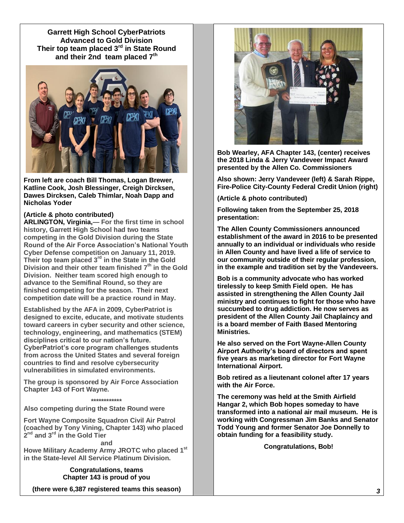**Garrett High School CyberPatriots Advanced to Gold Division Their top team placed 3rd in State Round and their 2nd team placed 7th**



**From left are coach Bill Thomas, Logan Brewer, Katline Cook, Josh Blessinger, Creigh Dircksen, Dawes Dircksen, Caleb Thimlar, Noah Dapp and Nicholas Yoder**

#### **(Article & photo contributed)**

**ARLINGTON, Virginia,— For the first time in school history, Garrett High School had two teams competing in the Gold Division during the State Round of the Air Force Association's National Youth Cyber Defense competition on January 11, 2019. Their top team placed 3rd in the State in the Gold Division and their other team finished 7th in the Gold Division. Neither team scored high enough to advance to the Semifinal Round, so they are finished competing for the season. Their next competition date will be a practice round in May.**

**Established by the AFA in 2009, CyberPatriot is designed to excite, educate, and motivate students toward careers in cyber security and other science, technology, engineering, and mathematics (STEM) disciplines critical to our nation's future. CyberPatriot's core program challenges students from across the United States and several foreign countries to find and resolve cybersecurity vulnerabilities in simulated environments.**

**The group is sponsored by Air Force Association Chapter 143 of Fort Wayne.**

#### **\*\*\*\*\*\*\*\*\*\*\*\***

**Also competing during the State Round were**

**Fort Wayne Composite Squadron Civil Air Patrol (coached by Tony Vining, Chapter 143) who placed 2 nd and 3rd in the Gold Tier**

**and Howe Military Academy Army JROTC who placed 1st in the State-level All Service Platinum Division.**

> **Congratulations, teams Chapter 143 is proud of you**

**(there were 6,387 registered teams this season)**



**Bob Wearley, AFA Chapter 143, (center) receives the 2018 Linda & Jerry Vandeveer Impact Award presented by the Allen Co. Commissioners**

**Also shown: Jerry Vandeveer (left) & Sarah Rippe, Fire-Police City-County Federal Credit Union (right)**

**(Article & photo contributed)**

**Following taken from the September 25, 2018 presentation:** 

**The Allen County Commissioners announced establishment of the award in 2016 to be presented annually to an individual or individuals who reside in Allen County and have lived a life of service to our community outside of their regular profession, in the example and tradition set by the Vandeveers.** 

**Bob is a community advocate who has worked tirelessly to keep Smith Field open. He has assisted in strengthening the Allen County Jail ministry and continues to fight for those who have succumbed to drug addiction. He now serves as president of the Allen County Jail Chaplaincy and is a board member of Faith Based Mentoring Ministries.** 

**He also served on the Fort Wayne-Allen County Airport Authority's board of directors and spent five years as marketing director for Fort Wayne International Airport.** 

**Bob retired as a lieutenant colonel after 17 years with the Air Force.**

**The ceremony was held at the Smith Airfield Hangar 2, which Bob hopes someday to have transformed into a national air mail museum. He is working with Congressman Jim Banks and Senator Todd Young and former Senator Joe Donnelly to obtain funding for a feasibility study.**

**Congratulations, Bob!**